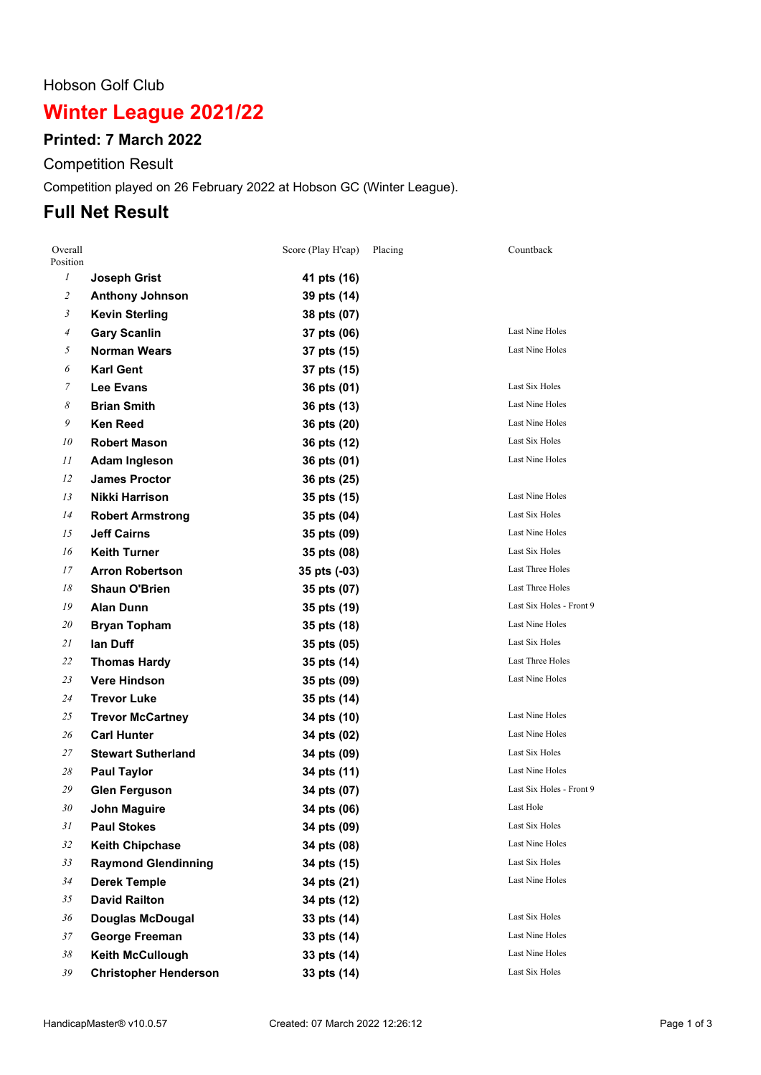#### Hobson Golf Club

# **Winter League 2021/22**

### **Printed: 7 March 2022**

Competition Result

Competition played on 26 February 2022 at Hobson GC (Winter League).

## **Full Net Result**

| Overall<br>Position |                              | Score (Play H'cap) | Placing | Countback                |
|---------------------|------------------------------|--------------------|---------|--------------------------|
| $\boldsymbol{l}$    | <b>Joseph Grist</b>          | 41 pts (16)        |         |                          |
| $\mathfrak{2}$      | <b>Anthony Johnson</b>       | 39 pts (14)        |         |                          |
| 3                   | <b>Kevin Sterling</b>        | 38 pts (07)        |         |                          |
| 4                   | <b>Gary Scanlin</b>          | 37 pts (06)        |         | <b>Last Nine Holes</b>   |
| 5                   | <b>Norman Wears</b>          | 37 pts (15)        |         | Last Nine Holes          |
| 6                   | <b>Karl Gent</b>             | 37 pts (15)        |         |                          |
| 7                   | <b>Lee Evans</b>             | 36 pts (01)        |         | Last Six Holes           |
| 8                   | <b>Brian Smith</b>           | 36 pts (13)        |         | Last Nine Holes          |
| 9                   | <b>Ken Reed</b>              | 36 pts (20)        |         | Last Nine Holes          |
| 10                  | <b>Robert Mason</b>          | 36 pts (12)        |         | Last Six Holes           |
| 11                  | <b>Adam Ingleson</b>         | 36 pts (01)        |         | Last Nine Holes          |
| 12                  | <b>James Proctor</b>         | 36 pts (25)        |         |                          |
| 13                  | Nikki Harrison               | 35 pts (15)        |         | Last Nine Holes          |
| 14                  | <b>Robert Armstrong</b>      | 35 pts (04)        |         | Last Six Holes           |
| 15                  | <b>Jeff Cairns</b>           | 35 pts (09)        |         | Last Nine Holes          |
| 16                  | <b>Keith Turner</b>          | 35 pts (08)        |         | Last Six Holes           |
| 17                  | <b>Arron Robertson</b>       | 35 pts (-03)       |         | Last Three Holes         |
| 18                  | <b>Shaun O'Brien</b>         | 35 pts (07)        |         | Last Three Holes         |
| 19                  | <b>Alan Dunn</b>             | 35 pts (19)        |         | Last Six Holes - Front 9 |
| 20                  | <b>Bryan Topham</b>          | 35 pts (18)        |         | Last Nine Holes          |
| 21                  | lan Duff                     | 35 pts (05)        |         | Last Six Holes           |
| 22                  | <b>Thomas Hardy</b>          | 35 pts (14)        |         | Last Three Holes         |
| 23                  | <b>Vere Hindson</b>          | 35 pts (09)        |         | Last Nine Holes          |
| 24                  | <b>Trevor Luke</b>           | 35 pts (14)        |         |                          |
| 25                  | <b>Trevor McCartney</b>      | 34 pts (10)        |         | Last Nine Holes          |
| 26                  | <b>Carl Hunter</b>           | 34 pts (02)        |         | Last Nine Holes          |
| 27                  | <b>Stewart Sutherland</b>    | 34 pts (09)        |         | Last Six Holes           |
| 28                  | <b>Paul Taylor</b>           | 34 pts (11)        |         | Last Nine Holes          |
| 29                  | <b>Glen Ferguson</b>         | 34 pts (07)        |         | Last Six Holes - Front 9 |
| 30                  | <b>John Maguire</b>          | 34 pts (06)        |         | Last Hole                |
| 31                  | <b>Paul Stokes</b>           | 34 pts (09)        |         | Last Six Holes           |
| 32                  | <b>Keith Chipchase</b>       | 34 pts (08)        |         | Last Nine Holes          |
| 33                  | <b>Raymond Glendinning</b>   | 34 pts (15)        |         | Last Six Holes           |
| 34                  | <b>Derek Temple</b>          | 34 pts (21)        |         | Last Nine Holes          |
| 35                  | <b>David Railton</b>         | 34 pts (12)        |         |                          |
| 36                  | <b>Douglas McDougal</b>      | 33 pts (14)        |         | Last Six Holes           |
| 37                  | <b>George Freeman</b>        | 33 pts (14)        |         | Last Nine Holes          |
| 38                  | Keith McCullough             | 33 pts (14)        |         | Last Nine Holes          |
| 39                  | <b>Christopher Henderson</b> | 33 pts (14)        |         | Last Six Holes           |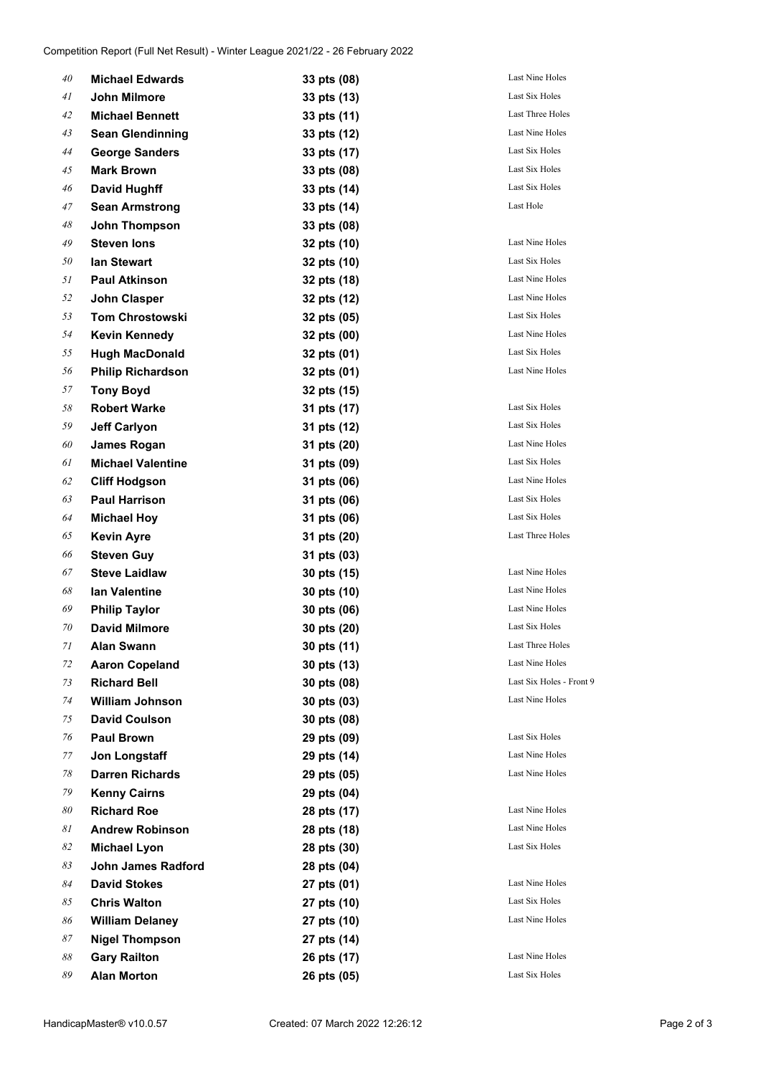| 40 | <b>Michael Edwards</b>   | 33 pts (08) | Last Nine Holes        |
|----|--------------------------|-------------|------------------------|
| 41 | John Milmore             | 33 pts (13) | Last Six Holes         |
| 42 | <b>Michael Bennett</b>   | 33 pts (11) | Last Three Holes       |
| 43 | <b>Sean Glendinning</b>  | 33 pts (12) | Last Nine Holes        |
| 44 | <b>George Sanders</b>    | 33 pts (17) | Last Six Holes         |
| 45 | <b>Mark Brown</b>        | 33 pts (08) | Last Six Holes         |
| 46 | <b>David Hughff</b>      | 33 pts (14) | Last Six Holes         |
| 47 | <b>Sean Armstrong</b>    | 33 pts (14) | Last Hole              |
| 48 | John Thompson            | 33 pts (08) |                        |
| 49 | <b>Steven lons</b>       | 32 pts (10) | Last Nine Holes        |
| 50 | <b>lan Stewart</b>       | 32 pts (10) | Last Six Holes         |
| 51 | <b>Paul Atkinson</b>     | 32 pts (18) | Last Nine Holes        |
| 52 | <b>John Clasper</b>      | 32 pts (12) | Last Nine Holes        |
| 53 | <b>Tom Chrostowski</b>   | 32 pts (05) | Last Six Holes         |
| 54 | <b>Kevin Kennedy</b>     | 32 pts (00) | Last Nine Holes        |
| 55 | <b>Hugh MacDonald</b>    | 32 pts (01) | Last Six Holes         |
| 56 | <b>Philip Richardson</b> | 32 pts (01) | Last Nine Holes        |
| 57 | <b>Tony Boyd</b>         | 32 pts (15) |                        |
| 58 | <b>Robert Warke</b>      | 31 pts (17) | Last Six Holes         |
| 59 | <b>Jeff Carlyon</b>      | 31 pts (12) | Last Six Holes         |
| 60 | <b>James Rogan</b>       | 31 pts (20) | Last Nine Holes        |
| 61 | <b>Michael Valentine</b> | 31 pts (09) | Last Six Holes         |
| 62 | <b>Cliff Hodgson</b>     | 31 pts (06) | Last Nine Holes        |
| 63 | <b>Paul Harrison</b>     | 31 pts (06) | Last Six Holes         |
| 64 | <b>Michael Hoy</b>       | 31 pts (06) | Last Six Holes         |
| 65 | <b>Kevin Ayre</b>        | 31 pts (20) | Last Three Holes       |
| 66 | <b>Steven Guy</b>        | 31 pts (03) |                        |
| 67 | <b>Steve Laidlaw</b>     | 30 pts (15) | <b>Last Nine Holes</b> |
| 68 | lan Valentine            | 30 pts (10) | Last Nine Holes        |
| 69 | <b>Philip Taylor</b>     | 30 pts (06) | <b>Last Nine Holes</b> |
| 70 | <b>David Milmore</b>     | 30 pts (20) | Last Six Holes         |
| 71 | <b>Alan Swann</b>        | 30 pts (11) | Last Three Holes       |
| 72 | <b>Aaron Copeland</b>    | 30 pts (13) | Last Nine Holes        |
| 73 | <b>Richard Bell</b>      | 30 pts (08) | Last Six Holes -       |
| 74 | <b>William Johnson</b>   | 30 pts (03) | Last Nine Holes        |
| 75 | <b>David Coulson</b>     | 30 pts (08) |                        |
| 76 | <b>Paul Brown</b>        | 29 pts (09) | Last Six Holes         |
| 77 | Jon Longstaff            | 29 pts (14) | Last Nine Holes        |
| 78 | <b>Darren Richards</b>   | 29 pts (05) | Last Nine Holes        |
| 79 | <b>Kenny Cairns</b>      | 29 pts (04) |                        |
| 80 | <b>Richard Roe</b>       | 28 pts (17) | Last Nine Holes        |
| 81 | <b>Andrew Robinson</b>   | 28 pts (18) | Last Nine Holes        |
| 82 | <b>Michael Lyon</b>      | 28 pts (30) | Last Six Holes         |
| 83 | John James Radford       | 28 pts (04) |                        |
| 84 | <b>David Stokes</b>      | 27 pts (01) | Last Nine Holes        |
| 85 | <b>Chris Walton</b>      | 27 pts (10) | Last Six Holes         |
| 86 | <b>William Delaney</b>   | 27 pts (10) | Last Nine Holes        |
| 87 | <b>Nigel Thompson</b>    | 27 pts (14) |                        |
| 88 | <b>Gary Railton</b>      | 26 pts (17) | Last Nine Holes        |
| 89 | <b>Alan Morton</b>       | 26 pts (05) | Last Six Holes         |

**Richard Bell 30 pts (08)** Last Six Holes - Front 9